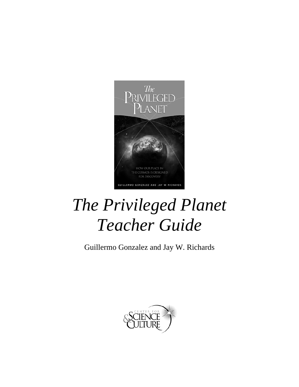

# *The Privileged Planet Teacher Guide*

Guillermo Gonzalez and Jay W. Richards

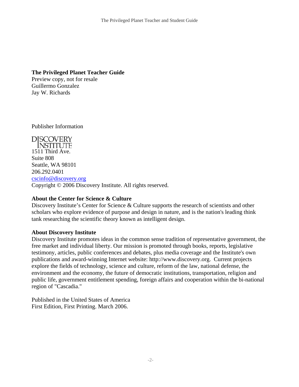#### **The Privileged Planet Teacher Guide**

Preview copy, not for resale Guillermo Gonzalez Jay W. Richards

Publisher Information

**DISCOVERY INSTITUTE** 1511 Third Ave. Suite 808 Seattle, WA 98101 206.292.0401 [cscinfo@discovery.org](mailto:cscinfo@discovery.org) Copyright © 2006 Discovery Institute. All rights reserved.

#### **About the Center for Science & Culture**

Discovery Institute's Center for Science & Culture supports the research of scientists and other scholars who explore evidence of purpose and design in nature, and is the nation's leading think tank researching the scientific theory known as intelligent design.

#### **About Discovery Institute**

Discovery Institute promotes ideas in the common sense tradition of representative government, the free market and individual liberty. Our mission is promoted through books, reports, legislative testimony, articles, public conferences and debates, plus media coverage and the Institute's own publications and award-winning Internet website: http://www.discovery.org. Current projects explore the fields of technology, science and culture, reform of the law, national defense, the environment and the economy, the future of democratic institutions, transportation, religion and public life, government entitlement spending, foreign affairs and cooperation within the bi-national region of "Cascadia."

Published in the United States of America First Edition, First Printing. March 2006.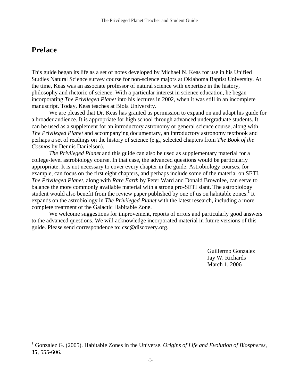# **Preface**

 $\overline{a}$ 

This guide began its life as a set of notes developed by Michael N. Keas for use in his Unified Studies Natural Science survey course for non-science majors at Oklahoma Baptist University. At the time, Keas was an associate professor of natural science with expertise in the history, philosophy and rhetoric of science. With a particular interest in science education, he began incorporating *The Privileged Planet* into his lectures in 2002, when it was still in an incomplete manuscript. Today, Keas teaches at Biola University.

We are pleased that Dr. Keas has granted us permission to expand on and adapt his guide for a broader audience. It is appropriate for high school through advanced undergraduate students. It can be used as a supplement for an introductory astronomy or general science course, along with *The Privileged Planet* and accompanying documentary, an introductory astronomy textbook and perhaps a set of readings on the history of science (e.g., selected chapters from *The Book of the Cosmos* by Dennis Danielson).

*The Privileged Planet* and this guide can also be used as supplementary material for a college-level astrobiology course. In that case, the advanced questions would be particularly appropriate. It is not necessary to cover every chapter in the guide. Astrobiology courses, for example, can focus on the first eight chapters, and perhaps include some of the material on SETI. *The Privileged Planet*, along with *Rare Earth* by Peter Ward and Donald Brownlee, can serve to balance the more commonly available material with a strong pro-SETI slant. The astrobiology student would also benefit from the review paper published by one of us on habitable zones.<sup>1</sup> It expands on the astrobiology in *The Privileged Planet* with the latest research, including a more complete treatment of the Galactic Habitable Zone.

We welcome suggestions for improvement, reports of errors and particularly good answers to the advanced questions. We will acknowledge incorporated material in future versions of this guide. Please send correspondence to: csc@discovery.org.

> Guillermo Gonzalez Jay W. Richards March 1, 2006

<span id="page-2-0"></span><sup>&</sup>lt;sup>1</sup> Gonzalez G. (2005). Habitable Zones in the Universe. *Origins of Life and Evolution of Biospheres*, **35**, 555-606.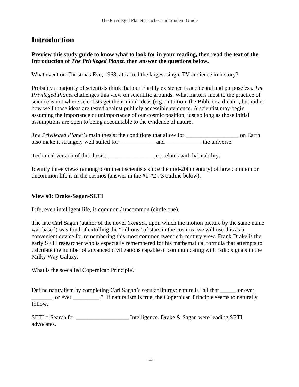# **Introduction**

**Preview this study guide to know what to look for in your reading, then read the text of the Introduction of** *The Privileged Planet***, then answer the questions below.**

What event on Christmas Eve, 1968, attracted the largest single TV audience in history?

Probably a majority of scientists think that our Earthly existence is accidental and purposeless. *The Privileged Planet* challenges this view on scientific grounds. What matters most to the practice of science is not where scientists get their initial ideas (e.g., intuition, the Bible or a dream), but rather how well those ideas are tested against publicly accessible evidence. A scientist may begin assuming the importance or unimportance of our cosmic position, just so long as those initial assumptions are open to being accountable to the evidence of nature.

*The Privileged Planet's* main thesis: the conditions that allow for \_\_\_\_\_\_\_\_\_\_\_\_\_\_\_\_\_\_\_\_ on Earth also make it strangely well suited for \_\_\_\_\_\_\_\_\_\_\_\_ and \_\_\_\_\_\_\_\_\_\_\_\_\_ the universe.

Technical version of this thesis: \_\_\_\_\_\_\_\_\_\_\_\_\_\_\_\_ correlates with habitability.

Identify three views (among prominent scientists since the mid-20th century) of how common or uncommon life is in the cosmos (answer in the #1-#2-#3 outline below).

#### **View #1: Drake-Sagan-SETI**

Life, even intelligent life, is common / uncommon (circle one).

The late Carl Sagan (author of the novel *Contact*, upon which the motion picture by the same name was based) was fond of extolling the "billions" of stars in the cosmos; we will use this as a convenient device for remembering this most common twentieth century view. Frank Drake is the early SETI researcher who is especially remembered for his mathematical formula that attempts to calculate the number of advanced civilizations capable of communicating with radio signals in the Milky Way Galaxy.

What is the so-called Copernican Principle?

Define naturalism by completing Carl Sagan's secular liturgy: nature is "all that \_\_\_\_\_, or ever \_\_\_\_\_\_\_, or ever \_\_\_\_\_\_\_\_\_." If naturalism is true, the Copernican Principle seems to naturally follow.

 $SETI = Search for$  Intelligence. Drake & Sagan were leading SETI advocates.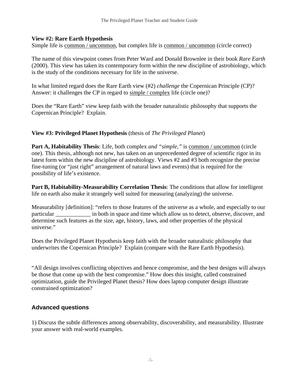#### **View #2: Rare Earth Hypothesis**

Simple life is common / uncommon, but complex life is common / uncommon (circle correct)

The name of this viewpoint comes from Peter Ward and Donald Brownlee in their book *Rare Earth* (2000). This view has taken its contemporary form within the new discipline of astrobiology, which is the study of the conditions necessary for life in the universe.

In what limited regard does the Rare Earth view (#2) *challenge* the Copernican Principle (CP)? Answer: it challenges the CP in regard to simple / complex life (circle one)?

Does the "Rare Earth" view keep faith with the broader naturalistic philosophy that supports the Copernican Principle? Explain.

#### **View #3: Privileged Planet Hypothesis** (thesis of *The Privileged Planet*)

**Part A, Habitability Thesis**: Life, both complex *and "simple,"* is common / uncommon (circle one). This thesis, although not new, has taken on an unprecedented degree of scientific rigor in its latest form within the new discipline of astrobiology. Views #2 and #3 both recognize the precise fine-tuning (or "just right" arrangement of natural laws and events) that is required for the possibility of life's existence.

**Part B, Habitability-Measurability Correlation Thesis**: The conditions that allow for intelligent life on earth also make it strangely well suited for measuring (analyzing) the universe.

Measurability [definition]: "refers to those features of the universe as a whole, and especially to our particular in both in space and time which allow us to detect, observe, discover, and determine such features as the size, age, history, laws, and other properties of the physical universe."

Does the Privileged Planet Hypothesis keep faith with the broader naturalistic philosophy that underwrites the Copernican Principle? Explain (compare with the Rare Earth Hypothesis).

"All design involves conflicting objectives and hence compromise, and the best designs will always be those that come up with the best compromise." How does this insight, called constrained optimization, guide the Privileged Planet thesis? How does laptop computer design illustrate constrained optimization?

#### **Advanced questions**

1) Discuss the subtle differences among observability, discoverability, and measurability. Illustrate your answer with real-world examples.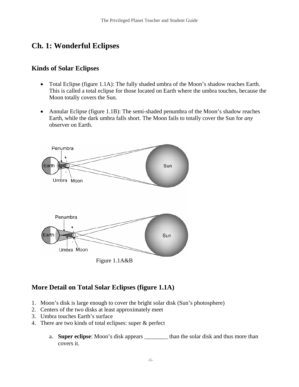# **Ch. 1: Wonderful Eclipses**

## **Kinds of Solar Eclipses**

- Total Eclipse (figure 1.1A): The fully shaded umbra of the Moon's shadow reaches Earth. This is called a total eclipse for those located on Earth where the umbra touches, because the Moon totally covers the Sun.
- Annular Eclipse (figure 1.1B): The semi-shaded penumbra of the Moon's shadow reaches Earth, while the dark umbra falls short. The Moon fails to totally cover the Sun for *any* observer on Earth.



## **More Detail on Total Solar Eclipses (figure 1.1A)**

- 1. Moon's disk is large enough to cover the bright solar disk (Sun's photosphere)
- 2. Centers of the two disks at least approximately meet
- 3. Umbra touches Earth's surface
- 4. There are two kinds of total eclipses: super & perfect
	- a. **Super eclipse**: Moon's disk appears \_\_\_\_\_\_\_\_ than the solar disk and thus more than covers it.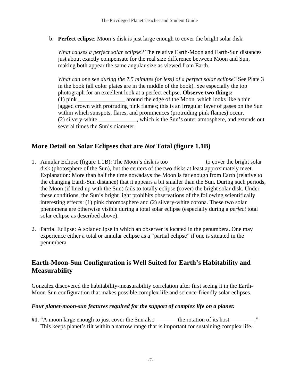b. **Perfect eclipse**: Moon's disk is just large enough to cover the bright solar disk.

*What causes a perfect solar eclipse?* The relative Earth-Moon and Earth-Sun distances just about exactly compensate for the real size difference between Moon and Sun, making both appear the same angular size as viewed from Earth.

*What can one see during the 7.5 minutes (or less) of a perfect solar eclipse?* See Plate 3 in the book (all color plates are in the middle of the book). See especially the top photograph for an excellent look at a perfect eclipse. **Observe two things:** (1) pink \_\_\_\_\_\_\_\_\_\_\_\_\_\_\_\_ around the edge of the Moon, which looks like a thin jagged crown with protruding pink flames; this is an irregular layer of gases on the Sun within which sunspots, flares, and prominences (protruding pink flames) occur. (2) silvery-white \_\_\_\_\_\_\_\_\_\_\_\_\_, which is the Sun's outer atmosphere, and extends out several times the Sun's diameter.

## **More Detail on Solar Eclipses that are** *Not* **Total (figure 1.1B)**

- 1. Annular Eclipse (figure 1.1B): The Moon's disk is too \_\_\_\_\_\_\_\_\_\_\_\_ to cover the bright solar disk (photosphere of the Sun), but the centers of the two disks at least approximately meet. Explanation: More than half the time nowadays the Moon is far enough from Earth (relative to the changing Earth-Sun distance) that it appears a bit smaller than the Sun. During such periods, the Moon (if lined up with the Sun) fails to totally eclipse (cover) the bright solar disk. Under these conditions, the Sun's bright light prohibits observations of the following scientifically interesting effects: (1) pink chromosphere and (2) silvery-white corona. These two solar phenomena are otherwise visible during a total solar eclipse (especially during a *perfect* total solar eclipse as described above).
- 2. Partial Eclipse: A solar eclipse in which an observer is located in the penumbera. One may experience either a total or annular eclipse as a "partial eclipse" if one is situated in the penumbera.

## **Earth-Moon-Sun Configuration is Well Suited for Earth's Habitability and Measurability**

Gonzalez discovered the habitability-measurability correlation after first seeing it in the Earth-Moon-Sun configuration that makes possible complex life and science-friendly solar eclipses.

#### *Four planet-moon-sun features required for the support of complex life on a planet:*

**#1.** "A moon large enough to just cover the Sun also \_\_\_\_\_\_\_ the rotation of its host \_\_\_\_\_\_\_\_." This keeps planet's tilt within a narrow range that is important for sustaining complex life.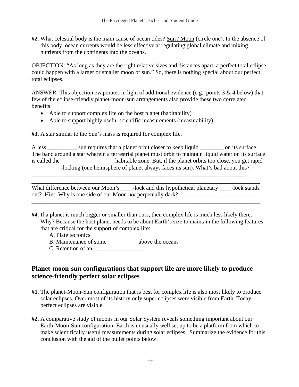**#2.** What celestial body is the main cause of ocean tides? Sun / Moon (circle one). In the absence of this body, ocean currents would be less effective at regulating global climate and mixing nutrients from the continents into the oceans.

OBJECTION: "As long as they are the right relative sizes and distances apart, a perfect total eclipse could happen with a larger or smaller moon or sun." So, there is nothing special about our perfect total eclipses.

ANSWER: This objection evaporates in light of additional evidence (e.g., points  $3 \& 4$  below) that few of the eclipse-friendly planet-moon-sun arrangements also provide these two correlated benefits:

- Able to support complex life on the host planet (habitability)
- Able to support highly useful scientific measurements (measurability)

**#3.** A star similar to the Sun's mass is required for complex life.

A less \_\_\_\_\_\_\_\_\_ sun requires that a planet orbit closer to keep liquid \_\_\_\_\_\_\_\_ on its surface. The band around a star wherein a terrestrial planet must orbit to maintain liquid water on its surface is called the \_\_\_\_\_\_\_\_\_\_\_\_\_\_\_\_\_\_ habitable zone. But, if the planet orbits too close, you get rapid \_\_\_\_\_\_\_\_\_\_-locking (one hemisphere of planet always faces its sun). What's bad about this?

What difference between our Moon's \_\_\_\_-lock and this hypothetical planetary \_\_\_\_-lock stands out? Hint: Why is one side of our Moon *not* perpetually dark?

\_\_\_\_\_\_\_\_\_\_\_\_\_\_\_\_\_\_\_\_\_\_\_\_\_\_\_\_\_\_\_\_\_\_\_\_\_\_\_\_\_\_\_\_\_\_\_\_\_\_\_\_\_\_\_\_\_\_\_\_\_\_\_\_\_\_\_\_\_\_\_\_\_\_\_\_\_\_

\_\_\_\_\_\_\_\_\_\_\_\_\_\_\_\_\_\_\_\_\_\_\_\_\_\_\_\_\_\_\_\_\_\_\_\_\_\_\_\_\_\_\_\_\_\_\_\_\_\_\_\_\_\_\_\_\_\_\_\_\_\_\_\_\_\_\_\_\_\_\_\_\_\_\_\_\_\_

\_\_\_\_\_\_\_\_\_\_\_\_\_\_\_\_\_\_\_\_\_\_\_\_\_\_\_\_\_\_\_\_\_\_\_\_\_\_\_\_\_\_\_\_\_\_\_\_\_\_\_\_\_\_\_\_\_\_\_\_\_\_\_\_\_\_\_\_\_\_\_\_\_

**#4.** If a planet is much bigger or smaller than ours, then complex life is much less likely there. Why? Because the host planet needs to be about Earth's size to maintain the following features that are critical for the support of complex life:

A. Plate tectonics

- B. Maintenance of some \_\_\_\_\_\_\_\_\_\_ above the oceans
- $C.$  Retention of an  $\_\_\_\_\_\_\_\_\_\_\_\_\_\_\_\_\_$ .

## **Planet-moon-sun configurations that support life are more likely to produce science-friendly perfect solar eclipses**

- **#1.** The planet-Moon-Sun configuration that is best for complex life is also most likely to produce solar eclipses. Over most of its history only super eclipses were visible from Earth. Today, perfect eclipses are visible.
- **#2.** A comparative study of moons in our Solar System reveals something important about our Earth-Moon-Sun configuration: Earth is unusually well set up to be a platform from which to make scientifically useful measurements during solar eclipses. Summarize the evidence for this conclusion with the aid of the bullet points below: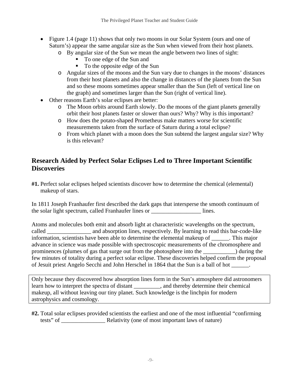- Figure 1.4 (page 11) shows that only two moons in our Solar System (ours and one of Saturn's) appear the same angular size as the Sun when viewed from their host planets.
	- o By angular size of the Sun we mean the angle between two lines of sight:
		- To one edge of the Sun and
		- To the opposite edge of the Sun
	- o Angular sizes of the moons and the Sun vary due to changes in the moons' distances from their host planets and also the change in distances of the planets from the Sun and so these moons sometimes appear smaller than the Sun (left of vertical line on the graph) and sometimes larger than the Sun (right of vertical line).
- Other reasons Earth's solar eclipses are better:
	- o The Moon orbits around Earth slowly. Do the moons of the giant planets generally orbit their host planets faster or slower than ours? Why? Why is this important?
	- o How does the potato-shaped Prometheus make matters worse for scientific measurements taken from the surface of Saturn during a total eclipse?
	- o From which planet with a moon does the Sun subtend the largest angular size? Why is this relevant?

## **Research Aided by Perfect Solar Eclipses Led to Three Important Scientific Discoveries**

**#1.** Perfect solar eclipses helped scientists discover how to determine the chemical (elemental) makeup of stars.

In 1811 Joseph Franhaufer first described the dark gaps that intersperse the smooth continuum of the solar light spectrum, called Franhaufer lines or <u>lines</u>.

Atoms and molecules both emit and absorb light at characteristic wavelengths on the spectrum, called \_\_\_\_\_\_\_\_\_\_\_\_\_\_\_ and absorption lines, respectively. By learning to read this bar-code-like information, scientists have been able to determine the elemental makeup of \_\_\_\_\_\_. This major advance in science was made possible with spectroscopic measurements of the chromosphere and prominences (plumes of gas that surge out from the photosphere into the \_\_\_\_\_\_\_\_\_\_\_) during the few minutes of totality during a perfect solar eclipse. These discoveries helped confirm the proposal of Jesuit priest Angelo Secchi and John Herschel in 1864 that the Sun is a ball of hot \_\_\_\_\_\_.

Only because they discovered how absorption lines form in the Sun's atmosphere did astronomers learn how to interpret the spectra of distant \_\_\_\_\_\_\_\_\_, and thereby determine their chemical makeup, all without leaving our tiny planet. Such knowledge is the linchpin for modern astrophysics and cosmology.

**#2.** Total solar eclipses provided scientists the earliest and one of the most influential "confirming tests" of **Example 2** Relativity (one of most important laws of nature)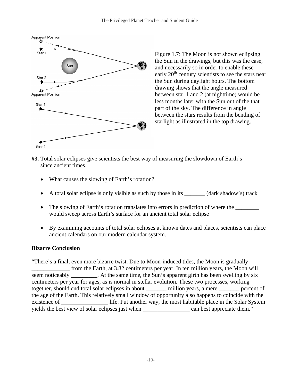

Figure 1.7: The Moon is not shown eclipsing the Sun in the drawings, but this was the case, and necessarily so in order to enable these early  $20<sup>th</sup>$  century scientists to see the stars near the Sun during daylight hours. The bottom drawing shows that the angle measured between star 1 and 2 (at nighttime) would be less months later with the Sun out of the that part of the sky. The difference in angle between the stars results from the bending of starlight as illustrated in the top drawing.

- **#3.** Total solar eclipses give scientists the best way of measuring the slowdown of Earth's \_\_\_\_\_ since ancient times.
	- What causes the slowing of Earth's rotation?
	- A total solar eclipse is only visible as such by those in its \_\_\_\_\_\_\_ (dark shadow's) track
	- The slowing of Earth's rotation translates into errors in prediction of where the would sweep across Earth's surface for an ancient total solar eclipse
	- By examining accounts of total solar eclipses at known dates and places, scientists can place ancient calendars on our modern calendar system.

#### **Bizarre Conclusion**

"There's a final, even more bizarre twist. Due to Moon-induced tides, the Moon is gradually \_\_\_\_\_\_\_\_\_\_\_\_\_ from the Earth, at 3.82 centimeters per year. In ten million years, the Moon will seem noticeably \_\_\_\_\_\_\_\_. At the same time, the Sun's apparent girth has been swelling by six centimeters per year for ages, as is normal in stellar evolution. These two processes, working together, should end total solar eclipses in about \_\_\_\_\_\_\_ million years, a mere \_\_\_\_\_\_\_ percent of the age of the Earth. This relatively small window of opportunity also happens to coincide with the existence of \_\_\_\_\_\_\_\_\_\_\_\_\_\_\_\_ life. Put another way, the most habitable place in the Solar System yields the best view of solar eclipses just when \_\_\_\_\_\_\_\_\_\_\_\_\_\_\_\_ can best appreciate them."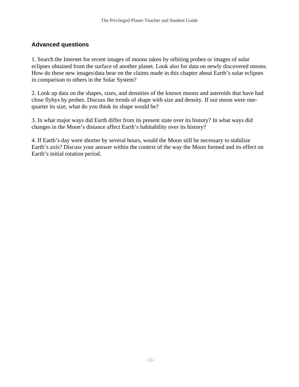## **Advanced questions**

1. Search the Internet for recent images of moons taken by orbiting probes or images of solar eclipses obtained from the surface of another planet. Look also for data on newly discovered moons. How do these new images/data bear on the claims made in this chapter about Earth's solar eclipses in comparison to others in the Solar System?

2. Look up data on the shapes, sizes, and densities of the known moons and asteroids that have had close flybys by probes. Discuss the trends of shape with size and density. If our moon were onequarter its size, what do you think its shape would be?

3. In what major ways did Earth differ from its present state over its history? In what ways did changes in the Moon's distance affect Earth's habitability over its history?

4. If Earth's day were shorter by several hours, would the Moon still be necessary to stabilize Earth's axis? Discuss your answer within the context of the way the Moon formed and its effect on Earth's initial rotation period.